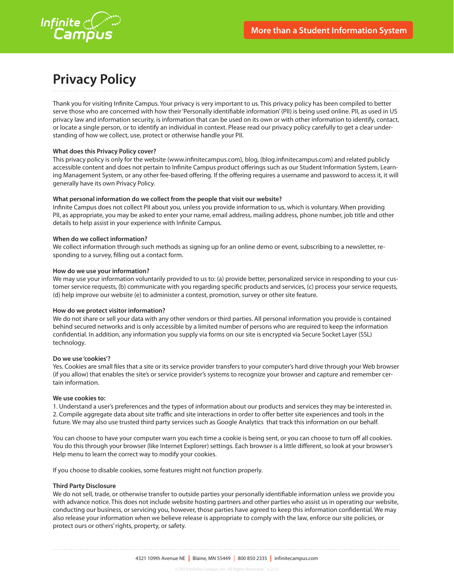

# **Privacy Policy**

Thank you for visiting Infinite Campus. Your privacy is very important to us. This privacy policy has been compiled to better serve those who are concerned with how their 'Personally identifiable information' (PII) is being used online. PII, as used in US privacy law and information security, is information that can be used on its own or with other information to identify, contact, or locate a single person, or to identify an individual in context. Please read our privacy policy carefully to get a clear understanding of how we collect, use, protect or otherwise handle your PII.

### **What does this Privacy Policy cover?**

This privacy policy is only for the website (www.infinitecampus.com), blog, (blog.infinitecampus.com) and related publicly accessible content and does not pertain to Infinite Campus product offerings such as our Student Information System, Learning Management System, or any other fee-based offering. If the offering requires a username and password to access it, it will generally have its own Privacy Policy.

### **What personal information do we collect from the people that visit our website?**

Infinite Campus does not collect PII about you, unless you provide information to us, which is voluntary. When providing PII, as appropriate, you may be asked to enter your name, email address, mailing address, phone number, job title and other details to help assist in your experience with Infinite Campus.

### **When do we collect information?**

We collect information through such methods as signing up for an online demo or event, subscribing to a newsletter, responding to a survey, filling out a contact form.

### **How do we use your information?**

We may use your information voluntarily provided to us to: (a) provide better, personalized service in responding to your customer service requests, (b) communicate with you regarding specific products and services, (c) process your service requests, (d) help improve our website (e) to administer a contest, promotion, survey or other site feature.

### **How do we protect visitor information?**

We do not share or sell your data with any other vendors or third parties. All personal information you provide is contained behind secured networks and is only accessible by a limited number of persons who are required to keep the information confidential. In addition, any information you supply via forms on our site is encrypted via Secure Socket Layer (SSL) technology.

### **Do we use 'cookies'?**

Yes. Cookies are small files that a site or its service provider transfers to your computer's hard drive through your Web browser (if you allow) that enables the site's or service provider's systems to recognize your browser and capture and remember certain information.

### **We use cookies to:**

1. Understand a user's preferences and the types of information about our products and services they may be interested in. 2. Compile aggregate data about site traffic and site interactions in order to offer better site experiences and tools in the future. We may also use trusted third party services such as Google Analytics that track this information on our behalf.

You can choose to have your computer warn you each time a cookie is being sent, or you can choose to turn off all cookies. You do this through your browser (like Internet Explorer) settings. Each browser is a little different, so look at your browser's Help menu to learn the correct way to modify your cookies.

If you choose to disable cookies, some features might not function properly.

### **Third Party Disclosure**

We do not sell, trade, or otherwise transfer to outside parties your personally identifiable information unless we provide you with advance notice. This does not include website hosting partners and other parties who assist us in operating our website, conducting our business, or servicing you, however, those parties have agreed to keep this information confidential. We may also release your information when we believe release is appropriate to comply with the law, enforce our site policies, or protect ours or others' rights, property, or safety.